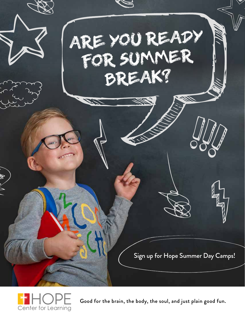



Good for the brain, the body, the soul, and just plain good fun.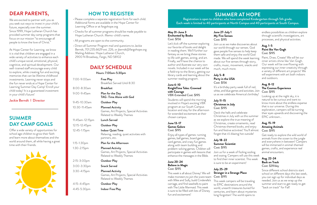# **SUMMER AT HOPE**

Registration is open to children who have completed Kindergarten through 5th grade. Each week is limited to 40 participants at North Campus and 40 participants at South Campus.

# **DEAR PARENTS,**

We are excited to partner with you as you seek out ways to invest in your child's future, especially over the summer. Since 1999, Hope Lutheran Church has provided summer day camp programs that focus on our mission "to encourage all people to know the love of Christ."

At Hope Center for Learning, we know it is vital that children are engaged in a wide variety of activities to enhance each child's unique social, emotional, physical, cognitive, and spiritual development. Our well-trained staff encourage every child to explore, while creating fun and exciting memories that can be lifetime childhood investments. Learning never stops and the fun never ends at a Hope Center for Learning Summer Day Camp! Enroll your child today! It is a guaranteed investment in your child's future!

# Jackie Berndt l Director

### Hours: 7:00am-5:30pm

| 7:00-9:00am     | Free Play<br>Breakfast Served Until 8:30                                                       |
|-----------------|------------------------------------------------------------------------------------------------|
| 8:00-8:30am     | <b>Breakfast</b>                                                                               |
| 9:00-9:45am     | Plan for the Day<br><b>TAG</b> - Time Alone with God                                           |
| 9:45-10:30am    | Outdoor Play                                                                                   |
| 10:30-11:45am   | <b>Planned Activity</b><br>Games, Art Projects, Special Activities<br>Related to Weekly Themes |
| 11:45am-12:15pm | Lunch Served                                                                                   |
| 12:15-12:45pm   | Outdoor Play                                                                                   |
| 12:45-1:15pm    | <b>Indoor Quiet Time</b><br>Relaxing, reading, quiet activities with<br>partners, etc.         |
| 1:15-1:30pm     | Plan for the Afternoon                                                                         |
| 1:30-2:15pm     | <b>Planned Activity</b><br>Games, Art Projects, Special Activities<br>Related to Weekly Themes |
| 2:15-3:00pm     | Outdoor Play                                                                                   |
| 3:00-3:30pm     | <b>Snack Served</b>                                                                            |
| 3:30-4:15pm     | <b>Planned Activity</b><br>Games, Art Projects, Special Activities<br>Related to Weekly Themes |
| 4:15-4:45pm     | Outdoor Play                                                                                   |
| 4:45-5:30pm     | Indoor Free Play                                                                               |

# **DAILY SCHEDULE**

- Please complete a separate registration form for each child. Additional forms are available in the Hope Center for Learning Office or at fargohope.org
- Checks for all summer programs should be made payable to Hope Lutheran Church. Memo-child's name.
- All programs are open to the community.
- Direct all Summer Program mail and questions to Jackie Berndt, 701.235.6629 ext. 226, or jberndt@fargohope.org Mailing Address: Hope Lutheran Church, 2900 N Broadway, Fargo, ND 58102

# **HOW TO REGISTER**

# **SUMMER DAY CAMP GOALS**

Offer a wide variety of opportunities for school age children to grow their faith and learn more about themselves and the world around them, all while having a great time with their friends.



### **May 31–June 3 Enchanted by Books** Cost: \$156

Let's kick off the summer exploring our favorite of books and delight in reading them. We'll further our fantasy as we bring these stories to life with games, acting, and art. Finally, we'll have the chance to author and illustrate our very own novels. Included in our week will be a field trip to the library, getting our library cards and learning about the summer reading program.

### **June 6–10 KnightTime Tales: Crowned with Courage**  VBX-Extended Cost: \$195

Students will spend the morning involved in Hope's exciting VBX program at our South Campus location and stay for the afternoon for extended excitement at their chosen campus.

### **June 13–17 Games Galore** Cost: \$195

Enjoy all types of games: running games, ball games, board games, card games, and crazy fun games along with team building and problem-solving games. Children will participate in games with lessons that enhance the messages in the Bible.

### **June 20–24 Believe in Magic** Cost: \$195

This week is all about Disney! We will make monsters to join the scare team Cost: \$195 with Mike and Sully, build Cinderella's carriage, and find seashells to paint with The Little Mermaid. This week is sure to be filled with lots of Disney fun and excitement!

# **June 27–July 1 My Five Senses** Cost: \$195

Join us as we make discoveries about our world through our senses. God gave people five senses to help keep them safe and enjoy the world God made. We will spend the week learning about our five senses through story, crafts, music, movement, snacks and much, much more.

### **July 5–8 Party in the USA** Cost: \$156

It's a birthday party week full of red, white, and blue games and activities. Join us as we celebrate America's birthday!

### **July 11–15 Christmas in July** Cost: \$195

Deck the halls and celebrate Christmas in July with us this summer as we explore the true meaning of Christmas, create ornaments, read Christmas themed books, and enjoy fun and festive activities! You'll almost forget that it's blazing hot outside!

### **July 18–22 Summer Scientist** Cost: \$195

Join us for a week of fizzling sizzling and oozing. Campers will use this week to find their inner scientist. This week is sure to be an experiment!

# **July 25–29 Stranger in a Strange Place**

This week campers will be traveling to EPIC destinations around the world, unearth treasures buried for centuries, and learn about mysteries long forgotten! The world opens to

endless possibilities as children explore through scientific investigations, art processes, and physical activities.

# **Aug. 1–5 Paint like Van Gogh** Cost: \$195

Paint, Draw, Create! We will let our inner artists shine like Van Gogh. Our week will be overflowing with expressing our inner creativity through a variety of different art projects! We will experiment with art both indoors and outdoors.

### **Aug. 8–12 The Cosmos Experience** Cost: \$195

Looking up at the night sky, it is natural to be curious and want to know more about the endless expanse that is our universe. During this exploration, campers will be turning their eyes upwards and discovering the EPIC unknown…

## **Aug. 15–19 Amazing Animals** Cost: \$195

Get ready to explore the wild world of animals from the ocean to the jungle and everywhere in between! Campers will be immersed in animal-themed games, crafts, and experience real animal encounters.

## **Aug. 22–24 Back on Track** Cost: \$39/day

Since different school districts start school on different days this last week, you can sign up for individual days as needed. Join us as we wrap up the summer and start to get ready to get "back on track" for Fall!